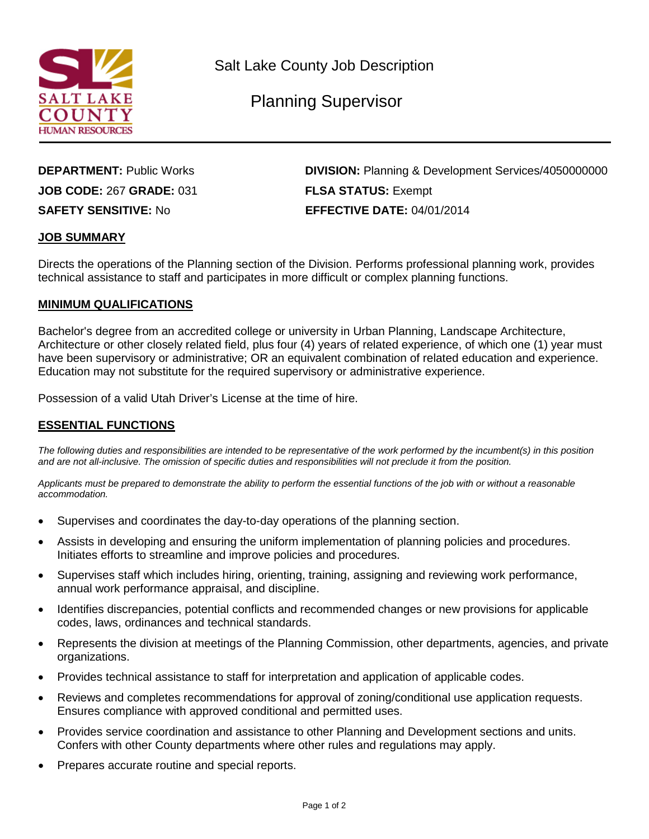

Salt Lake County Job Description

Planning Supervisor

**DEPARTMENT:** Public Works **DIVISION:** Planning & Development Services/4050000000 **JOB CODE:** 267 **GRADE:** 031 **FLSA STATUS:** Exempt **SAFETY SENSITIVE:** No **EFFECTIVE DATE:** 04/01/2014

### **JOB SUMMARY**

Directs the operations of the Planning section of the Division. Performs professional planning work, provides technical assistance to staff and participates in more difficult or complex planning functions.

#### **MINIMUM QUALIFICATIONS**

Bachelor's degree from an accredited college or university in Urban Planning, Landscape Architecture, Architecture or other closely related field, plus four (4) years of related experience, of which one (1) year must have been supervisory or administrative; OR an equivalent combination of related education and experience. Education may not substitute for the required supervisory or administrative experience.

Possession of a valid Utah Driver's License at the time of hire.

## **ESSENTIAL FUNCTIONS**

*The following duties and responsibilities are intended to be representative of the work performed by the incumbent(s) in this position and are not all-inclusive. The omission of specific duties and responsibilities will not preclude it from the position.*

*Applicants must be prepared to demonstrate the ability to perform the essential functions of the job with or without a reasonable accommodation.*

- Supervises and coordinates the day-to-day operations of the planning section.
- Assists in developing and ensuring the uniform implementation of planning policies and procedures. Initiates efforts to streamline and improve policies and procedures.
- Supervises staff which includes hiring, orienting, training, assigning and reviewing work performance, annual work performance appraisal, and discipline.
- Identifies discrepancies, potential conflicts and recommended changes or new provisions for applicable codes, laws, ordinances and technical standards.
- Represents the division at meetings of the Planning Commission, other departments, agencies, and private organizations.
- Provides technical assistance to staff for interpretation and application of applicable codes.
- Reviews and completes recommendations for approval of zoning/conditional use application requests. Ensures compliance with approved conditional and permitted uses.
- Provides service coordination and assistance to other Planning and Development sections and units. Confers with other County departments where other rules and regulations may apply.
- Prepares accurate routine and special reports.